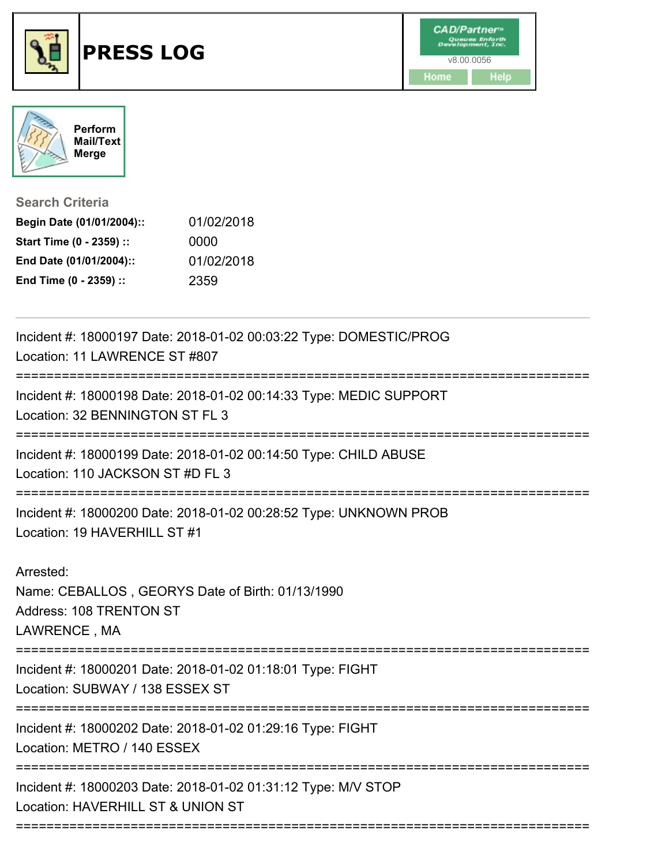





## **Search Criteria**

| Begin Date (01/01/2004):: | 01/02/2018 |
|---------------------------|------------|
| Start Time (0 - 2359) ::  | 0000       |
| End Date (01/01/2004)::   | 01/02/2018 |
| End Time (0 - 2359) ::    | 2359       |

| Incident #: 18000197 Date: 2018-01-02 00:03:22 Type: DOMESTIC/PROG<br>Location: 11 LAWRENCE ST #807      |
|----------------------------------------------------------------------------------------------------------|
| Incident #: 18000198 Date: 2018-01-02 00:14:33 Type: MEDIC SUPPORT<br>Location: 32 BENNINGTON ST FL 3    |
| Incident #: 18000199 Date: 2018-01-02 00:14:50 Type: CHILD ABUSE<br>Location: 110 JACKSON ST #D FL 3     |
| Incident #: 18000200 Date: 2018-01-02 00:28:52 Type: UNKNOWN PROB<br>Location: 19 HAVERHILL ST #1        |
| Arrested:<br>Name: CEBALLOS, GEORYS Date of Birth: 01/13/1990<br>Address: 108 TRENTON ST<br>LAWRENCE, MA |
| Incident #: 18000201 Date: 2018-01-02 01:18:01 Type: FIGHT<br>Location: SUBWAY / 138 ESSEX ST            |
| Incident #: 18000202 Date: 2018-01-02 01:29:16 Type: FIGHT<br>Location: METRO / 140 ESSEX                |
| Incident #: 18000203 Date: 2018-01-02 01:31:12 Type: M/V STOP<br>Location: HAVERHILL ST & UNION ST       |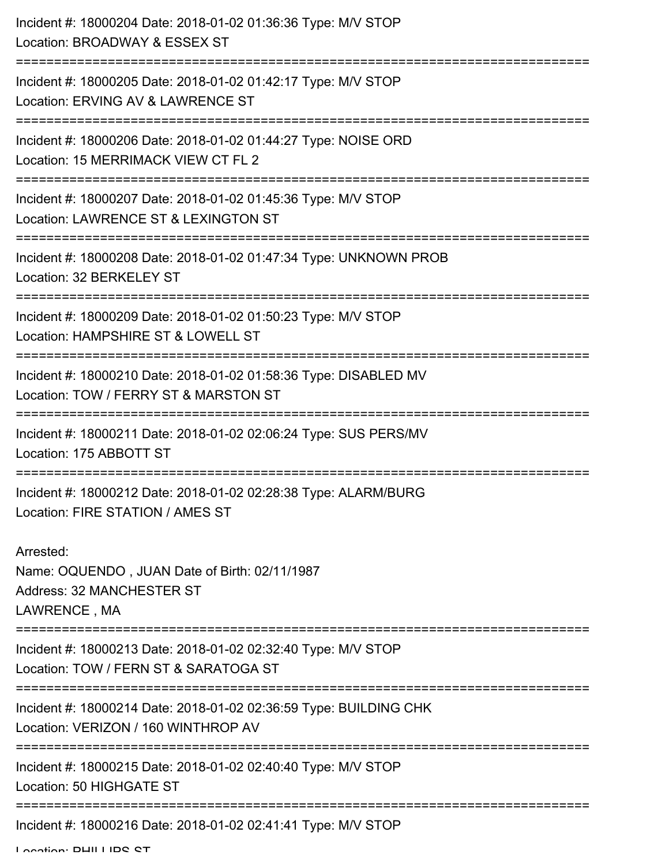| Incident #: 18000204 Date: 2018-01-02 01:36:36 Type: M/V STOP<br>Location: BROADWAY & ESSEX ST                         |
|------------------------------------------------------------------------------------------------------------------------|
| Incident #: 18000205 Date: 2018-01-02 01:42:17 Type: M/V STOP<br>Location: ERVING AV & LAWRENCE ST                     |
| Incident #: 18000206 Date: 2018-01-02 01:44:27 Type: NOISE ORD<br>Location: 15 MERRIMACK VIEW CT FL 2                  |
| Incident #: 18000207 Date: 2018-01-02 01:45:36 Type: M/V STOP<br>Location: LAWRENCE ST & LEXINGTON ST                  |
| Incident #: 18000208 Date: 2018-01-02 01:47:34 Type: UNKNOWN PROB<br>Location: 32 BERKELEY ST                          |
| Incident #: 18000209 Date: 2018-01-02 01:50:23 Type: M/V STOP<br>Location: HAMPSHIRE ST & LOWELL ST                    |
| Incident #: 18000210 Date: 2018-01-02 01:58:36 Type: DISABLED MV<br>Location: TOW / FERRY ST & MARSTON ST              |
| Incident #: 18000211 Date: 2018-01-02 02:06:24 Type: SUS PERS/MV<br>Location: 175 ABBOTT ST                            |
| Incident #: 18000212 Date: 2018-01-02 02:28:38 Type: ALARM/BURG<br>Location: FIRE STATION / AMES ST                    |
| Arrested:<br>Name: OQUENDO, JUAN Date of Birth: 02/11/1987<br>Address: 32 MANCHESTER ST<br>LAWRENCE, MA                |
| Incident #: 18000213 Date: 2018-01-02 02:32:40 Type: M/V STOP<br>Location: TOW / FERN ST & SARATOGA ST                 |
| Incident #: 18000214 Date: 2018-01-02 02:36:59 Type: BUILDING CHK<br>Location: VERIZON / 160 WINTHROP AV               |
| =========================<br>Incident #: 18000215 Date: 2018-01-02 02:40:40 Type: M/V STOP<br>Location: 50 HIGHGATE ST |
| Incident #: 18000216 Date: 2018-01-02 02:41:41 Type: M/V STOP                                                          |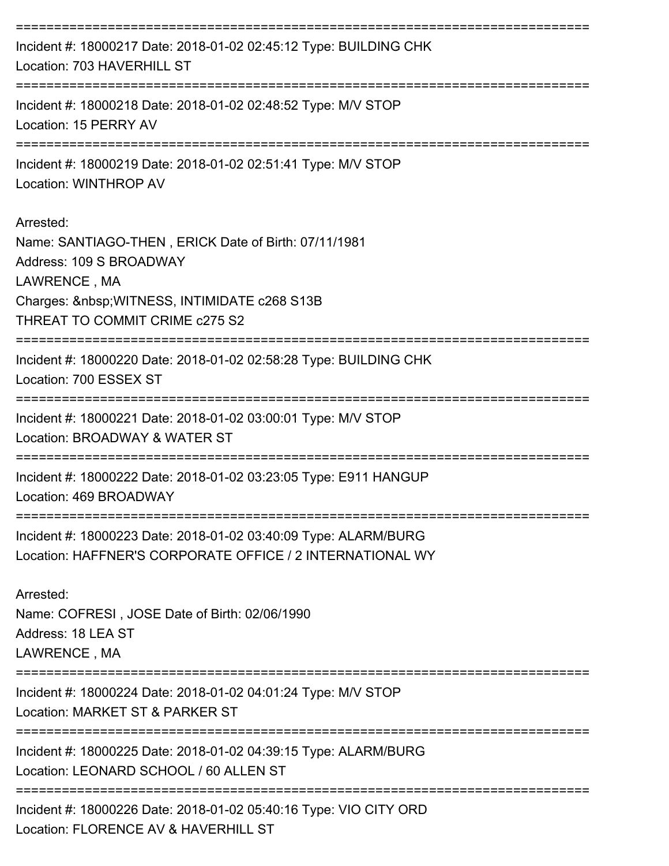| Incident #: 18000217 Date: 2018-01-02 02:45:12 Type: BUILDING CHK<br>Location: 703 HAVERHILL ST                                                                                            |
|--------------------------------------------------------------------------------------------------------------------------------------------------------------------------------------------|
| Incident #: 18000218 Date: 2018-01-02 02:48:52 Type: M/V STOP<br>Location: 15 PERRY AV                                                                                                     |
| Incident #: 18000219 Date: 2018-01-02 02:51:41 Type: M/V STOP<br>Location: WINTHROP AV                                                                                                     |
| Arrested:<br>Name: SANTIAGO-THEN, ERICK Date of Birth: 07/11/1981<br>Address: 109 S BROADWAY<br>LAWRENCE, MA<br>Charges:   WITNESS, INTIMIDATE c268 S13B<br>THREAT TO COMMIT CRIME c275 S2 |
| Incident #: 18000220 Date: 2018-01-02 02:58:28 Type: BUILDING CHK<br>Location: 700 ESSEX ST                                                                                                |
| Incident #: 18000221 Date: 2018-01-02 03:00:01 Type: M/V STOP<br>Location: BROADWAY & WATER ST                                                                                             |
| Incident #: 18000222 Date: 2018-01-02 03:23:05 Type: E911 HANGUP<br>Location: 469 BROADWAY                                                                                                 |
| Incident #: 18000223 Date: 2018-01-02 03:40:09 Type: ALARM/BURG<br>Location: HAFFNER'S CORPORATE OFFICE / 2 INTERNATIONAL WY                                                               |
| Arrested:<br>Name: COFRESI, JOSE Date of Birth: 02/06/1990<br>Address: 18 LEA ST<br>LAWRENCE, MA                                                                                           |
| Incident #: 18000224 Date: 2018-01-02 04:01:24 Type: M/V STOP<br>Location: MARKET ST & PARKER ST                                                                                           |
| Incident #: 18000225 Date: 2018-01-02 04:39:15 Type: ALARM/BURG<br>Location: LEONARD SCHOOL / 60 ALLEN ST                                                                                  |
| Incident #: 18000226 Date: 2018-01-02 05:40:16 Type: VIO CITY ORD<br>Location: FLORENCE AV & HAVERHILL ST                                                                                  |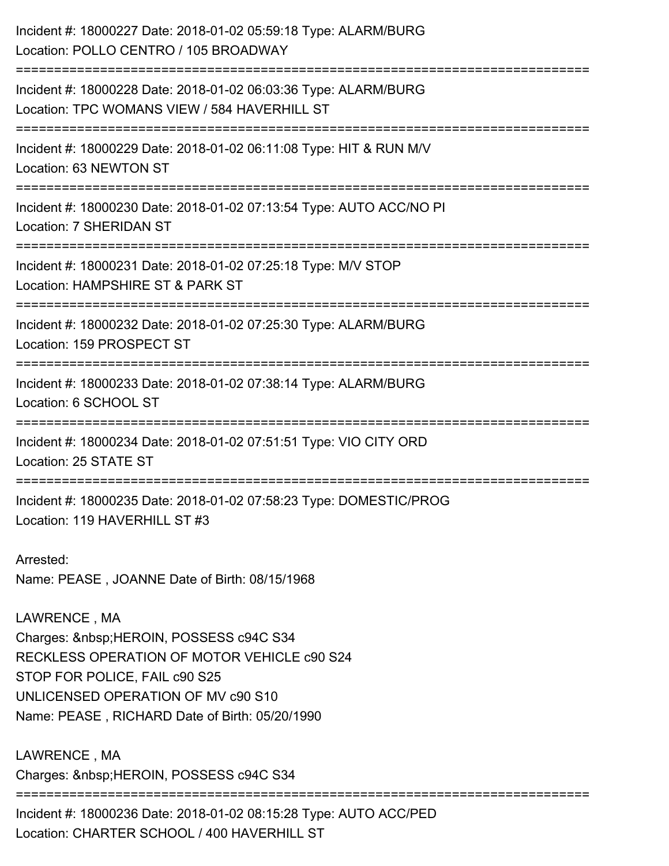| Incident #: 18000227 Date: 2018-01-02 05:59:18 Type: ALARM/BURG<br>Location: POLLO CENTRO / 105 BROADWAY                                                                                                                    |
|-----------------------------------------------------------------------------------------------------------------------------------------------------------------------------------------------------------------------------|
| Incident #: 18000228 Date: 2018-01-02 06:03:36 Type: ALARM/BURG<br>Location: TPC WOMANS VIEW / 584 HAVERHILL ST                                                                                                             |
| Incident #: 18000229 Date: 2018-01-02 06:11:08 Type: HIT & RUN M/V<br>Location: 63 NEWTON ST                                                                                                                                |
| Incident #: 18000230 Date: 2018-01-02 07:13:54 Type: AUTO ACC/NO PI<br>Location: 7 SHERIDAN ST                                                                                                                              |
| Incident #: 18000231 Date: 2018-01-02 07:25:18 Type: M/V STOP<br>Location: HAMPSHIRE ST & PARK ST                                                                                                                           |
| Incident #: 18000232 Date: 2018-01-02 07:25:30 Type: ALARM/BURG<br>Location: 159 PROSPECT ST                                                                                                                                |
| Incident #: 18000233 Date: 2018-01-02 07:38:14 Type: ALARM/BURG<br>Location: 6 SCHOOL ST                                                                                                                                    |
| Incident #: 18000234 Date: 2018-01-02 07:51:51 Type: VIO CITY ORD<br>Location: 25 STATE ST                                                                                                                                  |
| Incident #: 18000235 Date: 2018-01-02 07:58:23 Type: DOMESTIC/PROG<br>Location: 119 HAVERHILL ST #3                                                                                                                         |
| Arrested:<br>Name: PEASE, JOANNE Date of Birth: 08/15/1968                                                                                                                                                                  |
| LAWRENCE, MA<br>Charges:   HEROIN, POSSESS c94C S34<br>RECKLESS OPERATION OF MOTOR VEHICLE c90 S24<br>STOP FOR POLICE, FAIL c90 S25<br>UNLICENSED OPERATION OF MV c90 S10<br>Name: PEASE, RICHARD Date of Birth: 05/20/1990 |
| LAWRENCE, MA<br>Charges:  HEROIN, POSSESS c94C S34                                                                                                                                                                          |

Incident #: 18000236 Date: 2018-01-02 08:15:28 Type: AUTO ACC/PED Location: CHARTER SCHOOL / 400 HAVERHILL ST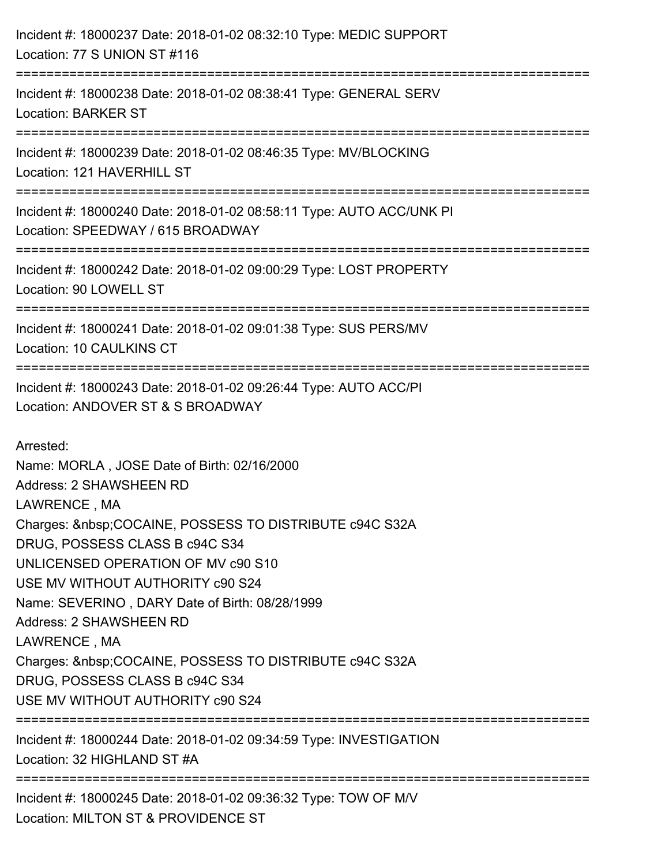| Incident #: 18000237 Date: 2018-01-02 08:32:10 Type: MEDIC SUPPORT<br>Location: 77 S UNION ST #116                                                                                                                                                                                                                                                                                                                                                                                                    |
|-------------------------------------------------------------------------------------------------------------------------------------------------------------------------------------------------------------------------------------------------------------------------------------------------------------------------------------------------------------------------------------------------------------------------------------------------------------------------------------------------------|
| Incident #: 18000238 Date: 2018-01-02 08:38:41 Type: GENERAL SERV<br><b>Location: BARKER ST</b>                                                                                                                                                                                                                                                                                                                                                                                                       |
| Incident #: 18000239 Date: 2018-01-02 08:46:35 Type: MV/BLOCKING<br>Location: 121 HAVERHILL ST                                                                                                                                                                                                                                                                                                                                                                                                        |
| Incident #: 18000240 Date: 2018-01-02 08:58:11 Type: AUTO ACC/UNK PI<br>Location: SPEEDWAY / 615 BROADWAY                                                                                                                                                                                                                                                                                                                                                                                             |
| Incident #: 18000242 Date: 2018-01-02 09:00:29 Type: LOST PROPERTY<br>Location: 90 LOWELL ST                                                                                                                                                                                                                                                                                                                                                                                                          |
| Incident #: 18000241 Date: 2018-01-02 09:01:38 Type: SUS PERS/MV<br>Location: 10 CAULKINS CT                                                                                                                                                                                                                                                                                                                                                                                                          |
| Incident #: 18000243 Date: 2018-01-02 09:26:44 Type: AUTO ACC/PI<br>Location: ANDOVER ST & S BROADWAY                                                                                                                                                                                                                                                                                                                                                                                                 |
| Arrested:<br>Name: MORLA, JOSE Date of Birth: 02/16/2000<br><b>Address: 2 SHAWSHEEN RD</b><br>LAWRENCE, MA<br>Charges:  COCAINE, POSSESS TO DISTRIBUTE c94C S32A<br>DRUG, POSSESS CLASS B c94C S34<br>UNLICENSED OPERATION OF MV c90 S10<br>USE MV WITHOUT AUTHORITY c90 S24<br>Name: SEVERINO, DARY Date of Birth: 08/28/1999<br>Address: 2 SHAWSHEEN RD<br>LAWRENCE, MA<br>Charges:  COCAINE, POSSESS TO DISTRIBUTE c94C S32A<br>DRUG, POSSESS CLASS B c94C S34<br>USE MV WITHOUT AUTHORITY c90 S24 |
| Incident #: 18000244 Date: 2018-01-02 09:34:59 Type: INVESTIGATION<br>Location: 32 HIGHLAND ST #A                                                                                                                                                                                                                                                                                                                                                                                                     |
| Incident #: 18000245 Date: 2018-01-02 09:36:32 Type: TOW OF M/V<br>Location: MILTON ST & PROVIDENCE ST                                                                                                                                                                                                                                                                                                                                                                                                |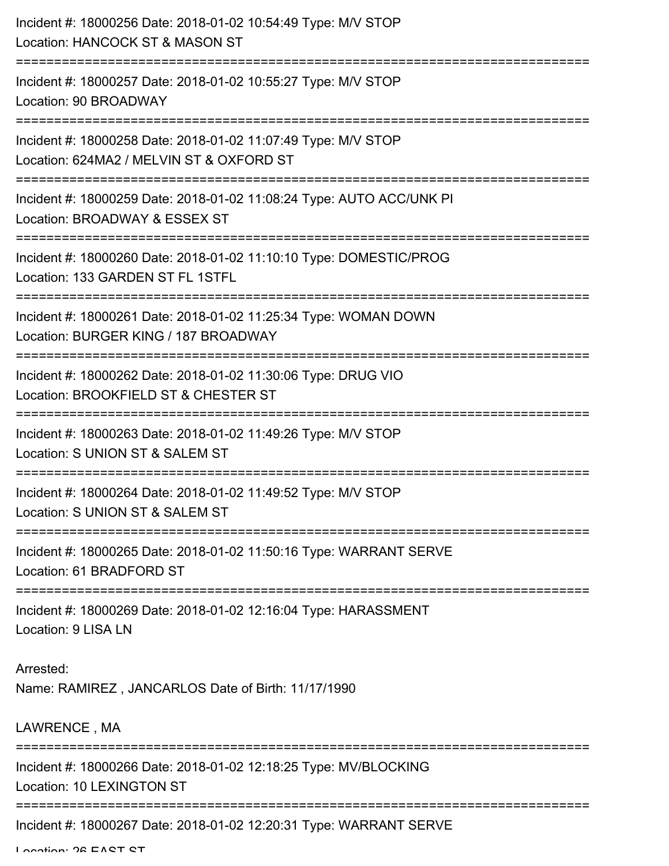| Incident #: 18000256 Date: 2018-01-02 10:54:49 Type: M/V STOP<br>Location: HANCOCK ST & MASON ST                                    |
|-------------------------------------------------------------------------------------------------------------------------------------|
| Incident #: 18000257 Date: 2018-01-02 10:55:27 Type: M/V STOP<br>Location: 90 BROADWAY                                              |
| Incident #: 18000258 Date: 2018-01-02 11:07:49 Type: M/V STOP<br>Location: 624MA2 / MELVIN ST & OXFORD ST<br>.--------------------- |
| Incident #: 18000259 Date: 2018-01-02 11:08:24 Type: AUTO ACC/UNK PI<br>Location: BROADWAY & ESSEX ST                               |
| Incident #: 18000260 Date: 2018-01-02 11:10:10 Type: DOMESTIC/PROG<br>Location: 133 GARDEN ST FL 1STFL                              |
| Incident #: 18000261 Date: 2018-01-02 11:25:34 Type: WOMAN DOWN<br>Location: BURGER KING / 187 BROADWAY                             |
| Incident #: 18000262 Date: 2018-01-02 11:30:06 Type: DRUG VIO<br>Location: BROOKFIELD ST & CHESTER ST<br>========================   |
| Incident #: 18000263 Date: 2018-01-02 11:49:26 Type: M/V STOP<br>Location: S UNION ST & SALEM ST                                    |
| Incident #: 18000264 Date: 2018-01-02 11:49:52 Type: M/V STOP<br>Location: S UNION ST & SALEM ST                                    |
| Incident #: 18000265 Date: 2018-01-02 11:50:16 Type: WARRANT SERVE<br>Location: 61 BRADFORD ST                                      |
| Incident #: 18000269 Date: 2018-01-02 12:16:04 Type: HARASSMENT<br>Location: 9 LISA LN                                              |
| Arrested:<br>Name: RAMIREZ, JANCARLOS Date of Birth: 11/17/1990                                                                     |
| LAWRENCE, MA                                                                                                                        |
| Incident #: 18000266 Date: 2018-01-02 12:18:25 Type: MV/BLOCKING<br><b>Location: 10 LEXINGTON ST</b>                                |
| Incident #: 18000267 Date: 2018-01-02 12:20:31 Type: WARRANT SERVE                                                                  |

Location: 26 EAST ST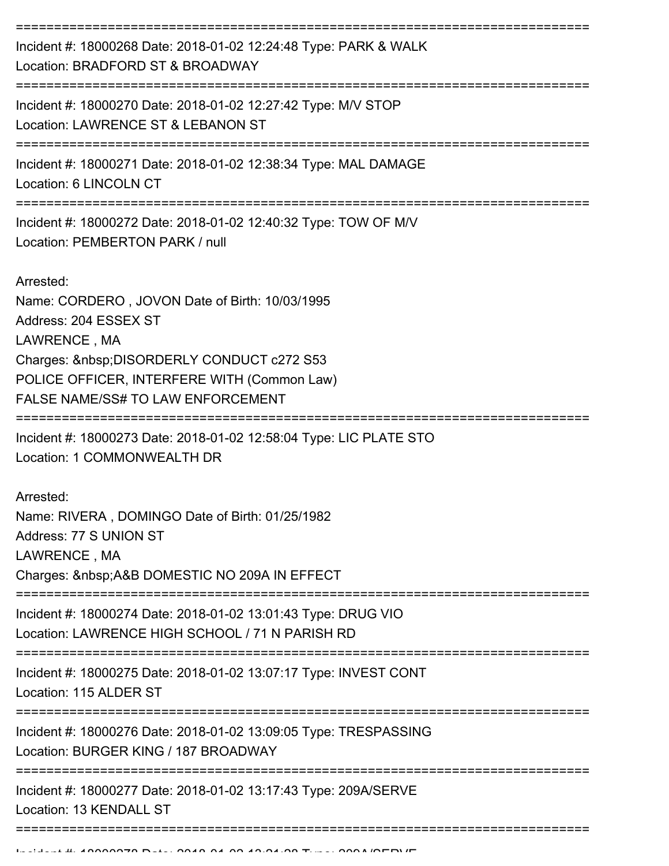| Incident #: 18000268 Date: 2018-01-02 12:24:48 Type: PARK & WALK<br>Location: BRADFORD ST & BROADWAY<br>-------------------------                                                                                                        |
|------------------------------------------------------------------------------------------------------------------------------------------------------------------------------------------------------------------------------------------|
| Incident #: 18000270 Date: 2018-01-02 12:27:42 Type: M/V STOP<br>Location: LAWRENCE ST & LEBANON ST                                                                                                                                      |
| Incident #: 18000271 Date: 2018-01-02 12:38:34 Type: MAL DAMAGE<br>Location: 6 LINCOLN CT                                                                                                                                                |
| Incident #: 18000272 Date: 2018-01-02 12:40:32 Type: TOW OF M/V<br>Location: PEMBERTON PARK / null                                                                                                                                       |
| Arrested:<br>Name: CORDERO, JOVON Date of Birth: 10/03/1995<br>Address: 204 ESSEX ST<br>LAWRENCE, MA<br>Charges:  DISORDERLY CONDUCT c272 S53<br>POLICE OFFICER, INTERFERE WITH (Common Law)<br><b>FALSE NAME/SS# TO LAW ENFORCEMENT</b> |
| Incident #: 18000273 Date: 2018-01-02 12:58:04 Type: LIC PLATE STO<br>Location: 1 COMMONWEALTH DR                                                                                                                                        |
| Arrested:<br>Name: RIVERA, DOMINGO Date of Birth: 01/25/1982<br>Address: 77 S UNION ST<br>LAWRENCE, MA<br>Charges:  A&B DOMESTIC NO 209A IN EFFECT                                                                                       |
| Incident #: 18000274 Date: 2018-01-02 13:01:43 Type: DRUG VIO<br>Location: LAWRENCE HIGH SCHOOL / 71 N PARISH RD                                                                                                                         |
| Incident #: 18000275 Date: 2018-01-02 13:07:17 Type: INVEST CONT<br>Location: 115 ALDER ST                                                                                                                                               |
| Incident #: 18000276 Date: 2018-01-02 13:09:05 Type: TRESPASSING<br>Location: BURGER KING / 187 BROADWAY                                                                                                                                 |
| Incident #: 18000277 Date: 2018-01-02 13:17:43 Type: 209A/SERVE<br>Location: 13 KENDALL ST                                                                                                                                               |
|                                                                                                                                                                                                                                          |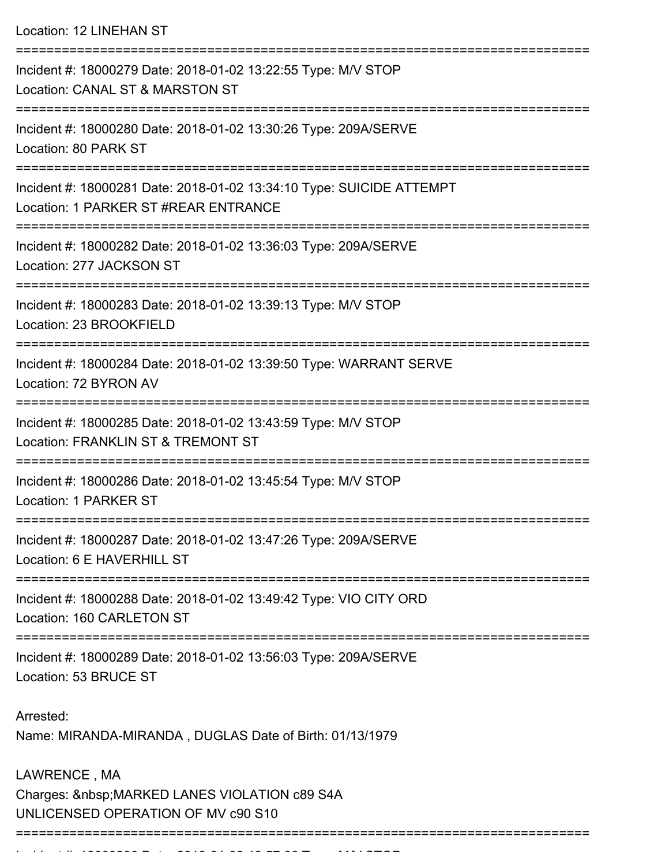Location: 12 LINEHAN ST =========================================================================== Incident #: 18000279 Date: 2018-01-02 13:22:55 Type: M/V STOP Location: CANAL ST & MARSTON ST =========================================================================== Incident #: 18000280 Date: 2018-01-02 13:30:26 Type: 209A/SERVE Location: 80 PARK ST =========================================================================== Incident #: 18000281 Date: 2018-01-02 13:34:10 Type: SUICIDE ATTEMPT Location: 1 PARKER ST #REAR ENTRANCE =========================================================================== Incident #: 18000282 Date: 2018-01-02 13:36:03 Type: 209A/SERVE Location: 277 JACKSON ST =========================================================================== Incident #: 18000283 Date: 2018-01-02 13:39:13 Type: M/V STOP Location: 23 BROOKFIELD =========================================================================== Incident #: 18000284 Date: 2018-01-02 13:39:50 Type: WARRANT SERVE Location: 72 BYRON AV =========================================================================== Incident #: 18000285 Date: 2018-01-02 13:43:59 Type: M/V STOP Location: FRANKLIN ST & TREMONT ST =========================================================================== Incident #: 18000286 Date: 2018-01-02 13:45:54 Type: M/V STOP Location: 1 PARKER ST =========================================================================== Incident #: 18000287 Date: 2018-01-02 13:47:26 Type: 209A/SERVE Location: 6 E HAVERHILL ST =========================================================================== Incident #: 18000288 Date: 2018-01-02 13:49:42 Type: VIO CITY ORD Location: 160 CARLETON ST =========================================================================== Incident #: 18000289 Date: 2018-01-02 13:56:03 Type: 209A/SERVE Location: 53 BRUCE ST Arrested: Name: MIRANDA-MIRANDA , DUGLAS Date of Birth: 01/13/1979 LAWRENCE , MA Charges: MARKED LANES VIOLATION c89 S4A UNLICENSED OPERATION OF MV c90 S10 ==============================

Incident #: 18000290 Date: 2018 01 02 13:58 Type: M/V STOP: M/V STOP:<br>.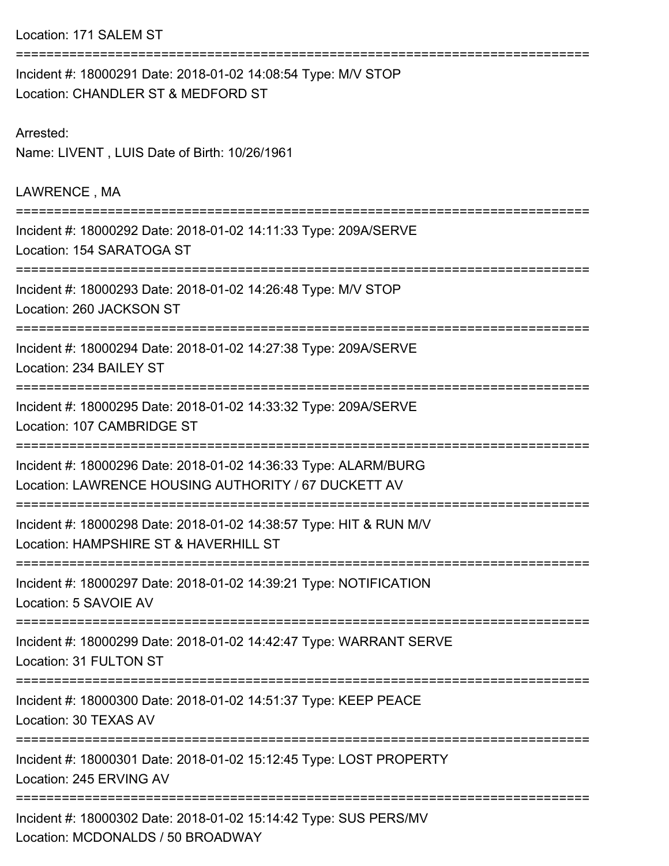Location: 171 SALEM ST

| Incident #: 18000291 Date: 2018-01-02 14:08:54 Type: M/V STOP<br>Location: CHANDLER ST & MEDFORD ST                     |
|-------------------------------------------------------------------------------------------------------------------------|
| Arrested:<br>Name: LIVENT, LUIS Date of Birth: 10/26/1961                                                               |
| LAWRENCE, MA                                                                                                            |
| Incident #: 18000292 Date: 2018-01-02 14:11:33 Type: 209A/SERVE<br>Location: 154 SARATOGA ST                            |
| Incident #: 18000293 Date: 2018-01-02 14:26:48 Type: M/V STOP<br>Location: 260 JACKSON ST                               |
| Incident #: 18000294 Date: 2018-01-02 14:27:38 Type: 209A/SERVE<br>Location: 234 BAILEY ST                              |
| Incident #: 18000295 Date: 2018-01-02 14:33:32 Type: 209A/SERVE<br>Location: 107 CAMBRIDGE ST                           |
| Incident #: 18000296 Date: 2018-01-02 14:36:33 Type: ALARM/BURG<br>Location: LAWRENCE HOUSING AUTHORITY / 67 DUCKETT AV |
| Incident #: 18000298 Date: 2018-01-02 14:38:57 Type: HIT & RUN M/V<br>Location: HAMPSHIRE ST & HAVERHILL ST             |
| Incident #: 18000297 Date: 2018-01-02 14:39:21 Type: NOTIFICATION<br>Location: 5 SAVOIE AV                              |
| Incident #: 18000299 Date: 2018-01-02 14:42:47 Type: WARRANT SERVE<br>Location: 31 FULTON ST                            |
| Incident #: 18000300 Date: 2018-01-02 14:51:37 Type: KEEP PEACE<br>Location: 30 TEXAS AV                                |
| Incident #: 18000301 Date: 2018-01-02 15:12:45 Type: LOST PROPERTY<br>Location: 245 ERVING AV                           |
| Incident #: 18000302 Date: 2018-01-02 15:14:42 Type: SUS PERS/MV<br>Location: MCDONALDS / 50 BROADWAY                   |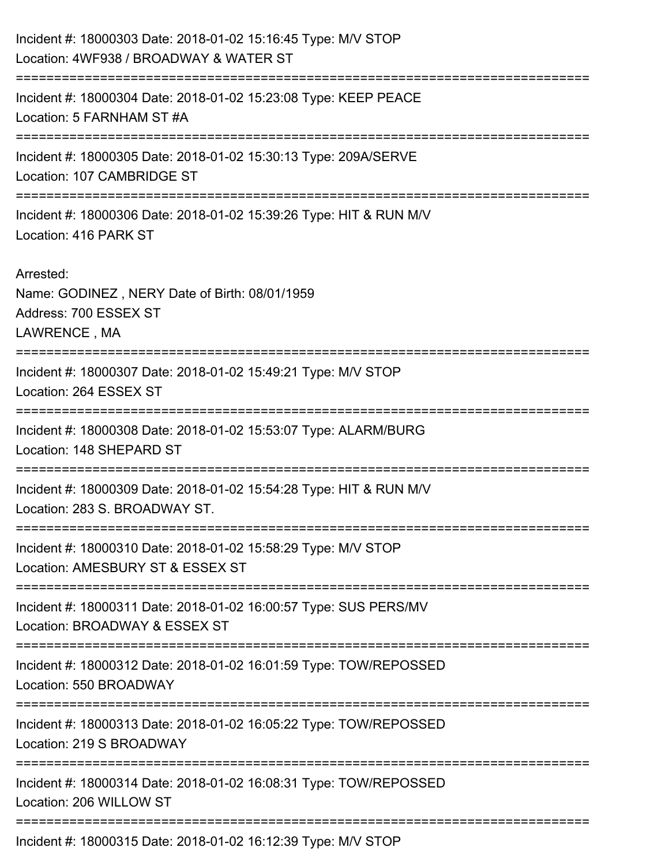| Incident #: 18000303 Date: 2018-01-02 15:16:45 Type: M/V STOP<br>Location: 4WF938 / BROADWAY & WATER ST |
|---------------------------------------------------------------------------------------------------------|
| Incident #: 18000304 Date: 2018-01-02 15:23:08 Type: KEEP PEACE<br>Location: 5 FARNHAM ST #A            |
| Incident #: 18000305 Date: 2018-01-02 15:30:13 Type: 209A/SERVE<br>Location: 107 CAMBRIDGE ST           |
| Incident #: 18000306 Date: 2018-01-02 15:39:26 Type: HIT & RUN M/V<br>Location: 416 PARK ST             |
| Arrested:<br>Name: GODINEZ, NERY Date of Birth: 08/01/1959<br>Address: 700 ESSEX ST<br>LAWRENCE, MA     |
| Incident #: 18000307 Date: 2018-01-02 15:49:21 Type: M/V STOP<br>Location: 264 ESSEX ST                 |
| Incident #: 18000308 Date: 2018-01-02 15:53:07 Type: ALARM/BURG<br>Location: 148 SHEPARD ST             |
| Incident #: 18000309 Date: 2018-01-02 15:54:28 Type: HIT & RUN M/V<br>Location: 283 S. BROADWAY ST.     |
| Incident #: 18000310 Date: 2018-01-02 15:58:29 Type: M/V STOP<br>Location: AMESBURY ST & ESSEX ST       |
| Incident #: 18000311 Date: 2018-01-02 16:00:57 Type: SUS PERS/MV<br>Location: BROADWAY & ESSEX ST       |
| Incident #: 18000312 Date: 2018-01-02 16:01:59 Type: TOW/REPOSSED<br>Location: 550 BROADWAY             |
| Incident #: 18000313 Date: 2018-01-02 16:05:22 Type: TOW/REPOSSED<br>Location: 219 S BROADWAY           |
| Incident #: 18000314 Date: 2018-01-02 16:08:31 Type: TOW/REPOSSED<br>Location: 206 WILLOW ST            |
| Incident #: 18000315 Date: 2018-01-02 16:12:39 Type: M/V STOP                                           |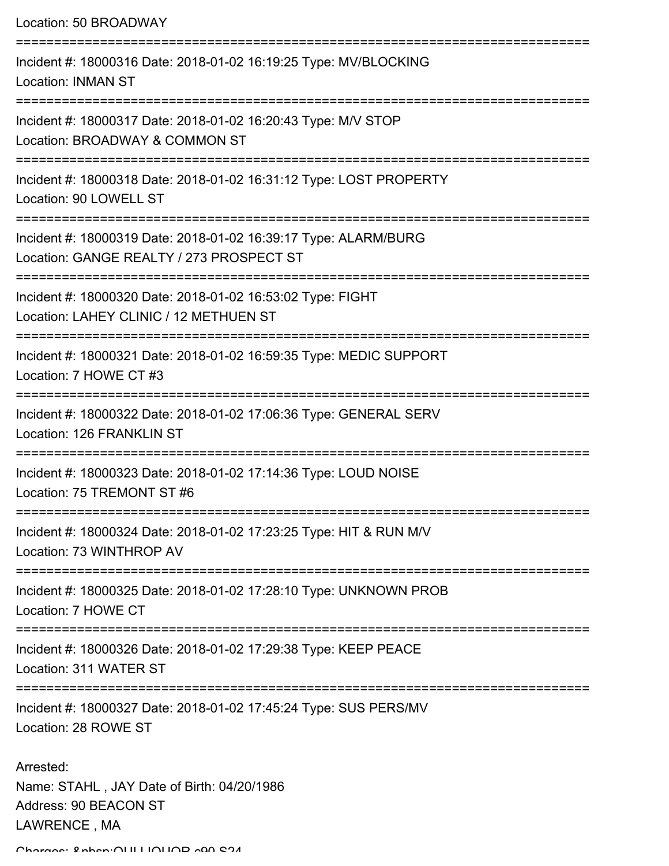Location: 50 BROADWAY =========================================================================== Incident #: 18000316 Date: 2018-01-02 16:19:25 Type: MV/BLOCKING Location: INMAN ST =========================================================================== Incident #: 18000317 Date: 2018-01-02 16:20:43 Type: M/V STOP Location: BROADWAY & COMMON ST =========================================================================== Incident #: 18000318 Date: 2018-01-02 16:31:12 Type: LOST PROPERTY Location: 90 LOWELL ST =========================================================================== Incident #: 18000319 Date: 2018-01-02 16:39:17 Type: ALARM/BURG Location: GANGE REALTY / 273 PROSPECT ST =========================================================================== Incident #: 18000320 Date: 2018-01-02 16:53:02 Type: FIGHT Location: LAHEY CLINIC / 12 METHUEN ST =========================================================================== Incident #: 18000321 Date: 2018-01-02 16:59:35 Type: MEDIC SUPPORT Location: 7 HOWE CT #3 =========================================================================== Incident #: 18000322 Date: 2018-01-02 17:06:36 Type: GENERAL SERV Location: 126 FRANKLIN ST =========================================================================== Incident #: 18000323 Date: 2018-01-02 17:14:36 Type: LOUD NOISE Location: 75 TREMONT ST #6 =========================================================================== Incident #: 18000324 Date: 2018-01-02 17:23:25 Type: HIT & RUN M/V Location: 73 WINTHROP AV =========================================================================== Incident #: 18000325 Date: 2018-01-02 17:28:10 Type: UNKNOWN PROB Location: 7 HOWE CT =========================================================================== Incident #: 18000326 Date: 2018-01-02 17:29:38 Type: KEEP PEACE Location: 311 WATER ST =========================================================================== Incident #: 18000327 Date: 2018-01-02 17:45:24 Type: SUS PERS/MV Location: 28 ROWE ST Arrested: Name: STAHL , JAY Date of Birth: 04/20/1986 Address: 90 BEACON ST

LAWRENCE , MA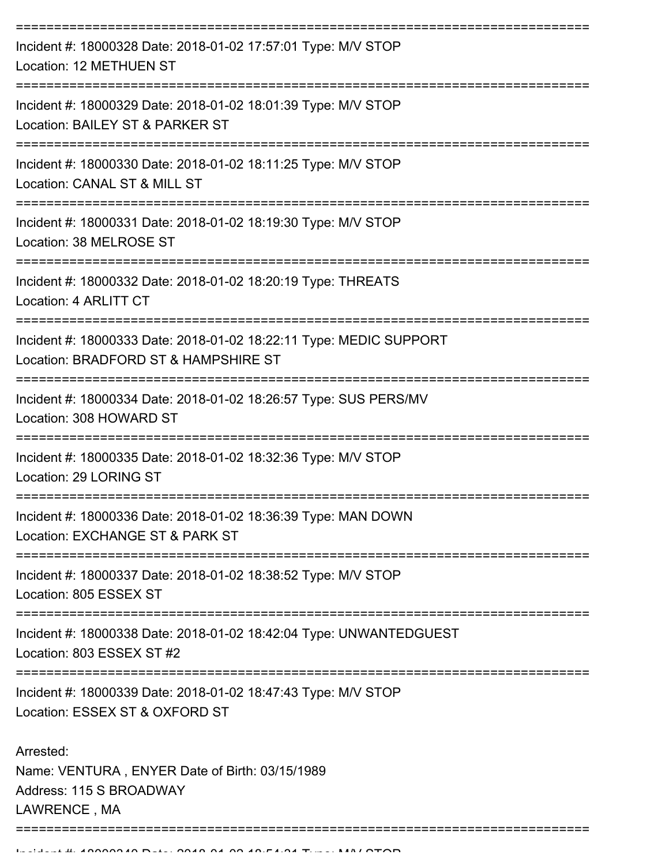| Incident #: 18000328 Date: 2018-01-02 17:57:01 Type: M/V STOP<br>Location: 12 METHUEN ST                              |
|-----------------------------------------------------------------------------------------------------------------------|
| Incident #: 18000329 Date: 2018-01-02 18:01:39 Type: M/V STOP<br>Location: BAILEY ST & PARKER ST                      |
| Incident #: 18000330 Date: 2018-01-02 18:11:25 Type: M/V STOP<br>Location: CANAL ST & MILL ST<br>-------------------- |
| Incident #: 18000331 Date: 2018-01-02 18:19:30 Type: M/V STOP<br>Location: 38 MELROSE ST                              |
| Incident #: 18000332 Date: 2018-01-02 18:20:19 Type: THREATS<br>Location: 4 ARLITT CT                                 |
| Incident #: 18000333 Date: 2018-01-02 18:22:11 Type: MEDIC SUPPORT<br>Location: BRADFORD ST & HAMPSHIRE ST            |
| Incident #: 18000334 Date: 2018-01-02 18:26:57 Type: SUS PERS/MV<br>Location: 308 HOWARD ST                           |
| Incident #: 18000335 Date: 2018-01-02 18:32:36 Type: M/V STOP<br>Location: 29 LORING ST                               |
| Incident #: 18000336 Date: 2018-01-02 18:36:39 Type: MAN DOWN<br>Location: EXCHANGE ST & PARK ST                      |
| Incident #: 18000337 Date: 2018-01-02 18:38:52 Type: M/V STOP<br>Location: 805 ESSEX ST                               |
| Incident #: 18000338 Date: 2018-01-02 18:42:04 Type: UNWANTEDGUEST<br>Location: 803 ESSEX ST #2                       |
| Incident #: 18000339 Date: 2018-01-02 18:47:43 Type: M/V STOP<br>Location: ESSEX ST & OXFORD ST                       |
| Arrested:<br>Name: VENTURA, ENYER Date of Birth: 03/15/1989<br>Address: 115 S BROADWAY<br>LAWRENCE, MA                |
|                                                                                                                       |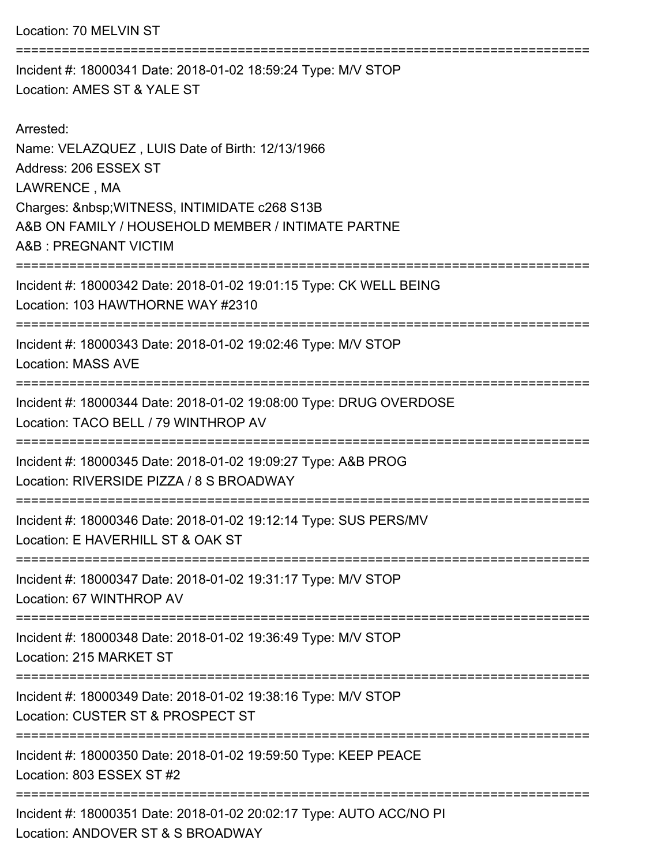Location: 70 MELVIN ST

============================== Incident #: 18000341 Date: 2018-01-02 18:59:24 Type: M/V STOP Location: AMES ST & YALE ST Arrested: Name: VELAZQUEZ , LUIS Date of Birth: 12/13/1966 Address: 206 ESSEX ST LAWRENCE , MA Charges: WITNESS, INTIMIDATE c268 S13B A&B ON FAMILY / HOUSEHOLD MEMBER / INTIMATE PARTNE A&B : PREGNANT VICTIM =========================================================================== Incident #: 18000342 Date: 2018-01-02 19:01:15 Type: CK WELL BEING Location: 103 HAWTHORNE WAY #2310 =========================================================================== Incident #: 18000343 Date: 2018-01-02 19:02:46 Type: M/V STOP Location: MASS AVE =========================================================================== Incident #: 18000344 Date: 2018-01-02 19:08:00 Type: DRUG OVERDOSE Location: TACO BELL / 79 WINTHROP AV =========================================================================== Incident #: 18000345 Date: 2018-01-02 19:09:27 Type: A&B PROG Location: RIVERSIDE PIZZA / 8 S BROADWAY =========================================================================== Incident #: 18000346 Date: 2018-01-02 19:12:14 Type: SUS PERS/MV Location: E HAVERHILL ST & OAK ST =========================================================================== Incident #: 18000347 Date: 2018-01-02 19:31:17 Type: M/V STOP Location: 67 WINTHROP AV =========================================================================== Incident #: 18000348 Date: 2018-01-02 19:36:49 Type: M/V STOP Location: 215 MARKET ST

===========================================================================

Incident #: 18000349 Date: 2018-01-02 19:38:16 Type: M/V STOP

Location: CUSTER ST & PROSPECT ST

===========================================================================

Incident #: 18000350 Date: 2018-01-02 19:59:50 Type: KEEP PEACE Location: 803 ESSEX ST #2

===========================================================================

Incident #: 18000351 Date: 2018-01-02 20:02:17 Type: AUTO ACC/NO PI Location: ANDOVER ST & S BROADWAY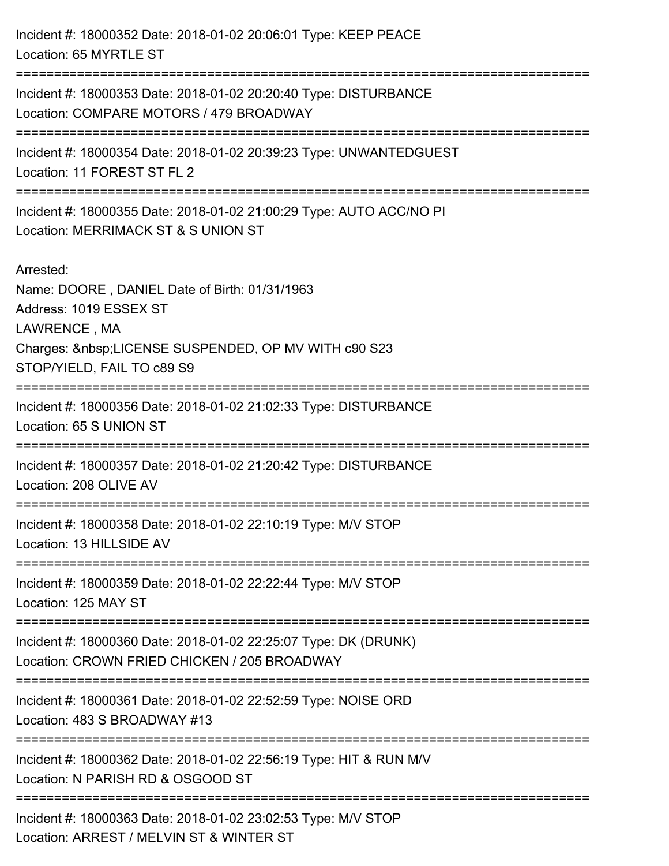| Incident #: 18000352 Date: 2018-01-02 20:06:01 Type: KEEP PEACE<br>Location: 65 MYRTLE ST                                                                                             |
|---------------------------------------------------------------------------------------------------------------------------------------------------------------------------------------|
| Incident #: 18000353 Date: 2018-01-02 20:20:40 Type: DISTURBANCE<br>Location: COMPARE MOTORS / 479 BROADWAY                                                                           |
| Incident #: 18000354 Date: 2018-01-02 20:39:23 Type: UNWANTEDGUEST<br>Location: 11 FOREST ST FL 2                                                                                     |
| Incident #: 18000355 Date: 2018-01-02 21:00:29 Type: AUTO ACC/NO PI<br>Location: MERRIMACK ST & S UNION ST                                                                            |
| Arrested:<br>Name: DOORE, DANIEL Date of Birth: 01/31/1963<br>Address: 1019 ESSEX ST<br>LAWRENCE, MA<br>Charges:  LICENSE SUSPENDED, OP MV WITH c90 S23<br>STOP/YIELD, FAIL TO c89 S9 |
| Incident #: 18000356 Date: 2018-01-02 21:02:33 Type: DISTURBANCE<br>Location: 65 S UNION ST                                                                                           |
| Incident #: 18000357 Date: 2018-01-02 21:20:42 Type: DISTURBANCE<br>Location: 208 OLIVE AV                                                                                            |
| Incident #: 18000358 Date: 2018-01-02 22:10:19 Type: M/V STOP<br>Location: 13 HILLSIDE AV                                                                                             |
| Incident #: 18000359 Date: 2018-01-02 22:22:44 Type: M/V STOP<br>Location: 125 MAY ST                                                                                                 |
| Incident #: 18000360 Date: 2018-01-02 22:25:07 Type: DK (DRUNK)<br>Location: CROWN FRIED CHICKEN / 205 BROADWAY                                                                       |
| Incident #: 18000361 Date: 2018-01-02 22:52:59 Type: NOISE ORD<br>Location: 483 S BROADWAY #13                                                                                        |
| Incident #: 18000362 Date: 2018-01-02 22:56:19 Type: HIT & RUN M/V<br>Location: N PARISH RD & OSGOOD ST                                                                               |
| Incident #: 18000363 Date: 2018-01-02 23:02:53 Type: M/V STOP<br>Location: ARREST / MELVIN ST & WINTER ST                                                                             |